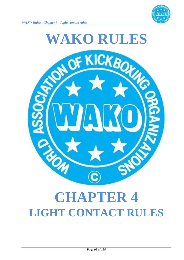



# **CHAPTER 4 LIGHT CONTACT RULES**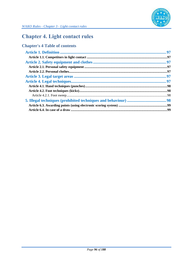

## **Chapter 4. Light contact rules**

## **Chapter's 4 Table of contents**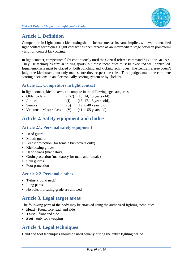

## **Article 1. Definition**

Competition in Light contact kickboxing should be executed as its name implies, with well-controlled light contact techniques. Light contact has been created as an intermediate stage between point/semi - and full contact kickboxing.

In light contact, competitors fight continuously until the Central referee command STOP or BREAK. They use techniques similar to ring sports, but these techniques must be executed well controlled. Equal emphasis must be placed on both punching and kicking techniques. The Central referee doesn't judge the kickboxers, but only makes sure they respect the rules. Three judges make the complete scoring decisions in an electronically scoring system or by clickers.

## **Article 1.1. Competitors in light contact**

In light contact, kickboxers can compete in the following age categories:

- Older cadets (OC) (13, 14, 15 years old),
- Juniors  $(J)$   $(16, 17, 18 \text{ years old}),$
- Seniors (S) (19 to 40 years old)
- Veterans Master class (V) (41 to 55 years old)

## **Article 2. Safety equipment and clothes**

### **Article 2.1. Personal safety equipment**

- Head guard
- Mouth guard,
- Breast protection (for female kickboxers only)
- Kickboxing gloves,
- Hand wraps (mandatory)
- Groin protection (mandatory for male and female)
- Shin guards
- Foot protection

#### **Article 2.2. Personal clothes**

- T-shirt (round neck)
- Long pants.
- No belts indicating grade are allowed.

## **Article 3. Legal target areas**

The following parts of the body may be attacked using the authorized fighting techniques:

- **Head** Front, forehead, and side
- **Torso** front and side
- **Feet** only for sweeping

## **Article 4. Legal techniques**

Hand and foot techniques should be used equally during the entire fighting period.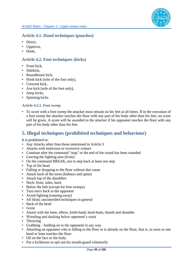

#### **Article 4.1. Hand techniques (punches)**

- Direct,
- Uppercut,
- Hook,

#### **Article 4.2. Foot techniques (kicks)**

- Front kick,
- Sidekick,
- Roundhouse kick,
- Hook kick (sole of the foot only),
- Crescent kick.
- Axe kick (sole of the foot only),
- Jump kicks,
- Spinning kicks

#### **Article 4.2.1. Foot sweep**

• To score with a foot sweep the attacker must remain on his feet at all times. If in the execution of a foot sweep the attacker touches the floor with any part of his body other than his feet, no score will be given. A score will be awarded to the attacker if his opponent touches the floor with any part of his body other than his feet.

## **5. Illegal techniques (prohibited techniques and behaviour)**

It is prohibited to:

- Any Attacks other than those mentioned in Article 3
- Attacks with malicious or excessive contact
- Continue after the command "stop" or the end of the round has been sounded
- Leaving the fighting area (Exits)
- On the command BREAK, not to step back at least one step
- Top of the head
- Falling or dropping to the floor without due cause
- Attack back of the torso (kidneys and spine)
- Attack top of the shoulders
- Neck: front, sides, back
- Below the belt (except for foot sweeps)
- Turn one's back to the opponent
- Avoid fighting (running away)
- All blind, uncontrolled techniques in general
- Back of the head
- Groin
- Attack with the knee, elbow, knife-hand, head-butts, thumb and shoulder
- Wrestling and ducking below opponent's waist
- Throwing
- Grabbing holding on to the opponent in any way
- Attacking an opponent who is falling to the floor or is already on the floor, that is, as soon as one hand or knee touches the floor
- Oil on the face or the body.
- For a kickboxer to spit out his mouth-guard voluntarily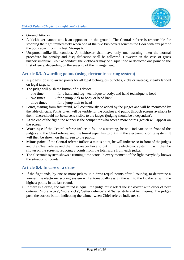

- Ground Attacks
- A kickboxer cannot attack an opponent on the ground. The Central referee is responsible for stopping the fight immediately when one of the two kickboxers touches the floor with any part of the body apart from his feet. Stomps to
- Unsportsmanlike-like conduct. A kickboxer shall have only one warning, then the normal procedure for penalty and disqualification shall be followed. However, in the case of gross unsportsmanlike like-like conduct, the kickboxer may be disqualified or deducted one point on the first offence, depending on the severity of the infringement.

#### **Article 6.3. Awarding points (using electronic scoring system)**

- A judge's job is to award points for all legal techniques (punches, kicks or sweeps), clearly landed on legal targets.
- The judge will push the button of his device;
	- one time for a hand and leg technique to body, and hand technique to head
	- two times for a jump kick to body or head kick
	- three times for a jump kick to head
- Points, starting from first round, will continuously be added by the judges and will be monitored by the table officials. Points given will be visible for the coaches and public through screens available to them. There should not be screens visible to the judges (judging should be independent).
- At the end of the fight, the winner is the competitor who scored more points (which will appear on the screen).
- **Warnings**: If the Central referee inflicts a foul or a warning, he will indicate so in front of the judges and the Chief referee, and the time-keeper has to put it in the electronic scoring system. It will then be shown on the screen to the public.
- **Minus point**: If the Central referee inflicts a minus point, he will indicate so in front of the judges and the Chief referee and the time-keeper have to put it in the electronic system. It will then be shown on the screens, reducing 3 points from the total score from each judge.
- The electronic system shows a running time score. In every moment of the fight everybody knows the situation of points.

#### **Article 6.4. In case of a draw**

- If the fight ends, by one or more judges, in a draw (equal points after 3 rounds), to determine a winner, the electronic scoring system will automatically assign the win to the kickboxer with the highest points in the last round.
- If there is a draw, and last round is equal, the judge must select the kickboxer with order of next criteria: 'more active', 'more kicks', 'better defence' and 'better style and techniques. The judges push the correct button indicating the winner when Chief referee indicates so.